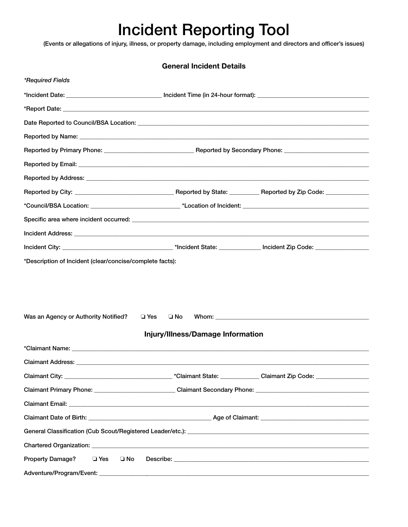## Incident Reporting Tool

(Events or allegations of injury, illness, or property damage, including employment and directors and officer's issues)

| <b>General Incident Details</b>                          |                                                                             |  |
|----------------------------------------------------------|-----------------------------------------------------------------------------|--|
| *Required Fields                                         |                                                                             |  |
|                                                          |                                                                             |  |
|                                                          |                                                                             |  |
|                                                          |                                                                             |  |
|                                                          |                                                                             |  |
|                                                          |                                                                             |  |
|                                                          |                                                                             |  |
|                                                          |                                                                             |  |
|                                                          |                                                                             |  |
|                                                          |                                                                             |  |
|                                                          |                                                                             |  |
|                                                          |                                                                             |  |
|                                                          |                                                                             |  |
| *Description of Incident (clear/concise/complete facts): |                                                                             |  |
|                                                          |                                                                             |  |
|                                                          |                                                                             |  |
|                                                          |                                                                             |  |
|                                                          |                                                                             |  |
| Was an Agency or Authority Notified?                     | $\square$ Yes<br>□ No                                                       |  |
|                                                          | Injury/Illness/Damage Information                                           |  |
|                                                          |                                                                             |  |
| Claimant Address: _________                              |                                                                             |  |
|                                                          |                                                                             |  |
|                                                          | Claimant Primary Phone: Claimant Secondary Phone: Claimant Secondary Phone: |  |
|                                                          |                                                                             |  |
|                                                          |                                                                             |  |
|                                                          |                                                                             |  |
|                                                          |                                                                             |  |
| <b>Property Damage?</b><br>$\square$ Yes<br>$\square$ No |                                                                             |  |
|                                                          |                                                                             |  |